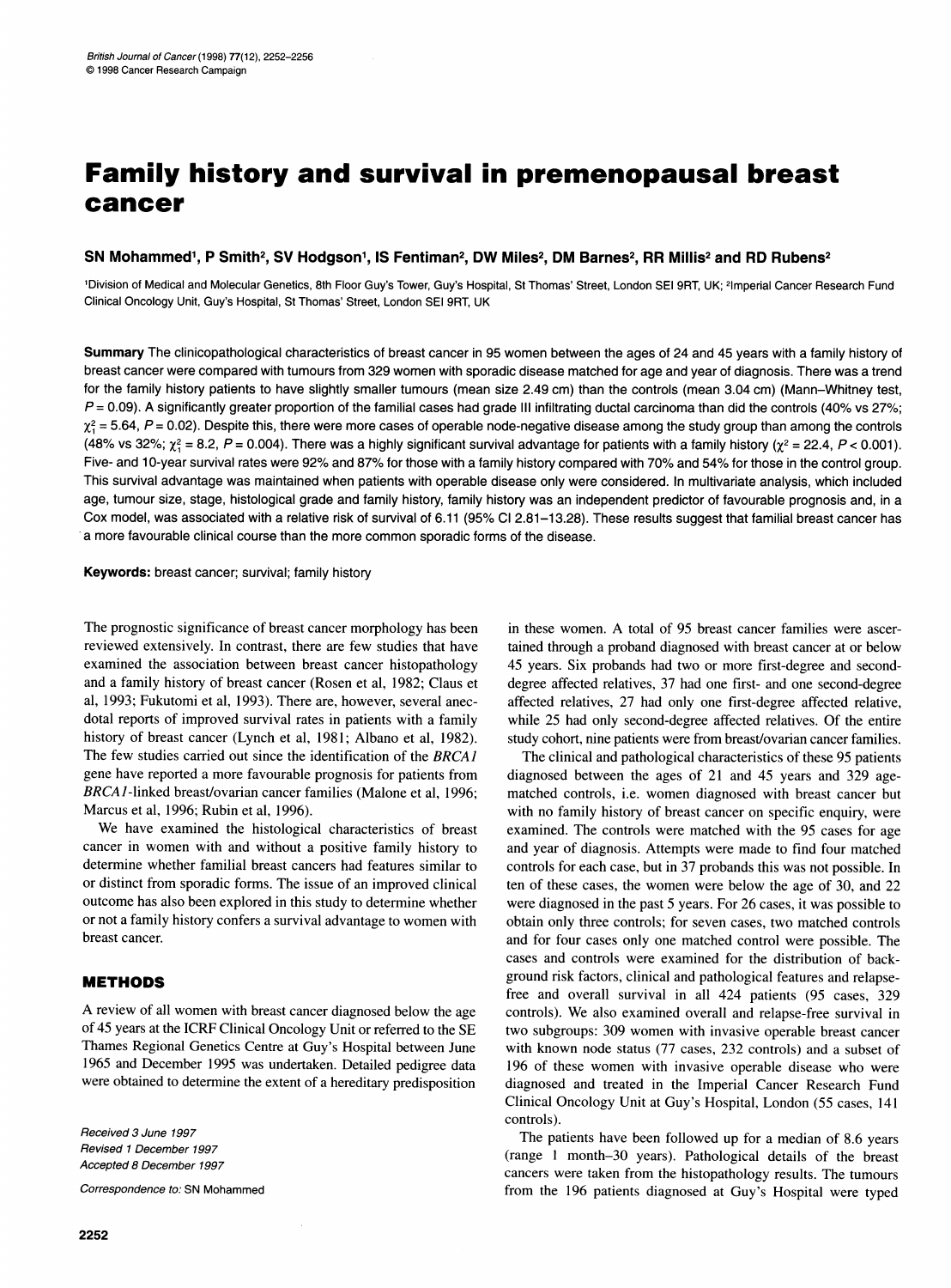# Family history and survival in premenopausal breast cancer

## SN Mohammed<sup>1</sup>, P Smith<sup>2</sup>, SV Hodgson<sup>1</sup>, IS Fentiman<sup>2</sup>, DW Miles<sup>2</sup>, DM Barnes<sup>2</sup>, RR Millis<sup>2</sup> and RD Rubens<sup>2</sup>

1Division of Medical and Molecular Genetics, 8th Floor Guy's Tower, Guy's Hospital, St Thomas' Street, London SEI 9RT, UK; 21mperial Cancer Research Fund Clinical Oncology Unit, Guy's Hospital, St Thomas' Street, London SEI 9RT, UK

Summary The clinicopathological characteristics of breast cancer in 95 women between the ages of 24 and 45 years with a family history of breast cancer were compared with tumours from 329 women with sporadic disease matched for age and year of diagnosis. There was a trend for the family history patients to have slightly smaller tumours (mean size 2.49 cm) than the controls (mean 3.04 cm) (Mann-Whitney test,  $P = 0.09$ ). A significantly greater proportion of the familial cases had grade III infiltrating ductal carcinoma than did the controls (40% vs 27%;  $\chi_1^2$  = 5.64, P = 0.02). Despite this, there were more cases of operable node-negative disease among the study group than among the controls (48% vs 32%;  $\chi^2 = 8.2$ , P = 0.004). There was a highly significant survival advantage for patients with a family history ( $\chi^2 = 22.4$ , P < 0.001). Five- and 10-year survival rates were 92% and 87% for those with a family history compared with 70% and 54% for those in the control group. This survival advantage was maintained when patients with operable disease only were considered. In multivariate analysis, which included age, tumour size, stage, histological grade and family history, family history was an independent predictor of favourable prognosis and, in a Cox model, was associated with a relative risk of survival of 6.11 (95% Cl 2.81-13.28). These results suggest that familial breast cancer has a more favourable clinical course than the more common sporadic forms of the disease.

Keywords: breast cancer; survival; family history

The prognostic significance of breast cancer morphology has been reviewed extensively. In contrast, there are few studies that have examined the association between breast cancer histopathology and a family history of breast cancer (Rosen et al, 1982; Claus et al, 1993; Fukutomi et al, 1993). There are, however, several anecdotal reports of improved survival rates in patients with a family history of breast cancer (Lynch et al, 1981; Albano et al, 1982). The few studies carried out since the identification of the BRCAJ gene have reported a more favourable prognosis for patients from BRCAI-linked breast/ovarian cancer families (Malone et al, 1996; Marcus et al, 1996; Rubin et al, 1996).

We have examined the histological characteristics of breast cancer in women with and without <sup>a</sup> positive family history to determine whether familial breast cancers had features similar to or distinct from sporadic forms. The issue of an improved clinical outcome has also been explored in this study to determine whether or not <sup>a</sup> family history confers <sup>a</sup> survival advantage to women with breast cancer.

# METHODS

A review of all women with breast cancer diagnosed below the age of 45 years at the ICRF Clinical Oncology Unit or referred to the SE Thames Regional Genetics Centre at Guy's Hospital between June 1965 and December 1995 was undertaken. Detailed pedigree data were obtained to determine the extent of a hereditary predisposition

Received 3 June 1997 Revised <sup>1</sup> December 1997 Accepted 8 December 1997

Correspondence to: SN Mohammed

in these women. A total of <sup>95</sup> breast cancer families were ascertained through a proband diagnosed with breast cancer at or below 45 years. Six probands had two or more first-degree and seconddegree affected relatives, 37 had one first- and one second-degree affected relatives, 27 had only one first-degree affected relative, while 25 had only second-degree affected relatives. Of the entire study cohort, nine patients were from breast/ovarian cancer families.

The clinical and pathological characteristics of these 95 patients diagnosed between the ages of 21 and 45 years and 329 agematched controls, i.e. women diagnosed with breast cancer but with no family history of breast cancer on specific enquiry, were examined. The controls were matched with the 95 cases for age and year of diagnosis. Attempts were made to find four matched controls for each case, but in 37 probands this was not possible. In ten of these cases, the women were below the age of 30, and 22 were diagnosed in the past 5 years. For 26 cases, it was possible to obtain only three controls; for seven cases, two matched controls and for four cases only one matched control were possible. The cases and controls were examined for the distribution of background risk factors, clinical and pathological features and relapsefree and overall survival in all 424 patients (95 cases, 329 controls). We also examined overall and relapse-free survival in two subgroups: 309 women with invasive operable breast cancer with known node status (77 cases, 232 controls) and a subset of 196 of these women with invasive operable disease who were diagnosed and treated in the Imperial Cancer Research Fund Clinical Oncology Unit at Guy's Hospital, London (55 cases, 141 controls).

The patients have been followed up for a median of 8.6 years (range <sup>1</sup> month-30 years). Pathological details of the breast cancers were taken from the histopathology results. The tumours from the 196 patients diagnosed at Guy's Hospital were typed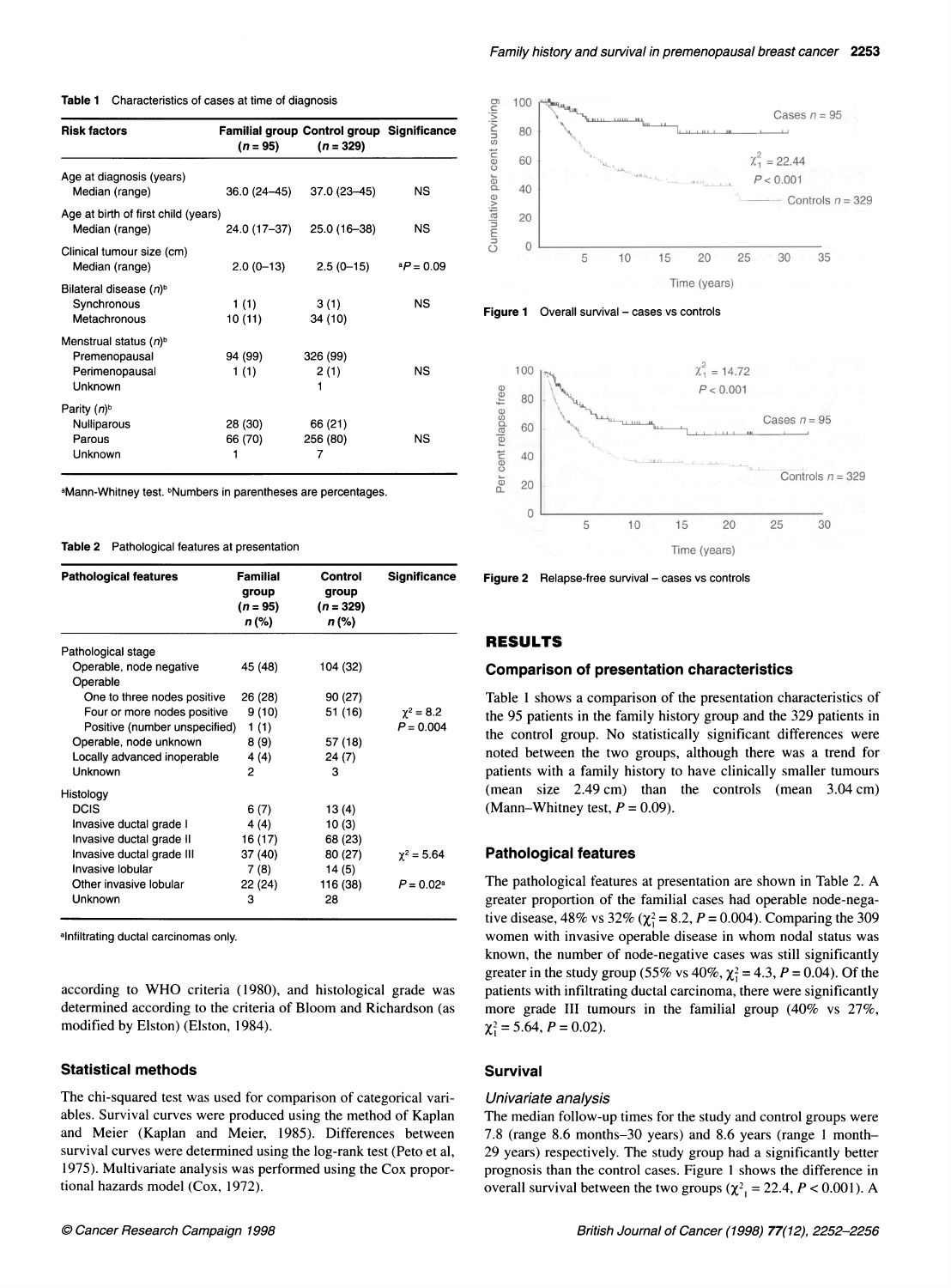Table 1 Characteristics of cases at time of diagnosis

| <b>Risk factors</b>                                                      | $(n = 95)$         | <b>Familial group Control group Significance</b><br>$(n = 329)$ |                    |
|--------------------------------------------------------------------------|--------------------|-----------------------------------------------------------------|--------------------|
| Age at diagnosis (years)<br>Median (range)                               | 36.0 (24–45)       | 37.0 (23-45)                                                    | NS                 |
| Age at birth of first child (years)<br>Median (range)                    | 24.0 (17–37)       | 25.0 (16-38)                                                    | <b>NS</b>          |
| Clinical tumour size (cm)<br>Median (range)                              | $2.0(0-13)$        | $2.5(0-15)$                                                     | $^{\circ}P = 0.09$ |
| Bilateral disease $(n)^b$<br>Synchronous<br>Metachronous                 | 1(1)<br>10 (11)    | 3(1)<br>34 (10)                                                 | NS                 |
| Menstrual status $(n)^{6}$<br>Premenopausal<br>Perimenopausal<br>Unknown | 94 (99)<br>1(1)    | 326 (99)<br>2(1)<br>1                                           | NS                 |
| Parity (n) <sup>b</sup><br><b>Nulliparous</b><br>Parous<br>Unknown       | 28 (30)<br>66 (70) | 66 (21)<br>256 (80)<br>7                                        | NS                 |

aMann-Whitney test. <sup>b</sup>Numbers in parentheses are percentages.

#### Table 2 Pathological features at presentation

| <b>Pathological features</b>        | <b>Familial</b><br>group<br>$(n = 95)$<br>n (%) | Control<br>group<br>$(n = 329)$<br>n (%) | <b>Significance</b> |
|-------------------------------------|-------------------------------------------------|------------------------------------------|---------------------|
| Pathological stage                  |                                                 |                                          |                     |
| Operable, node negative<br>Operable | 45 (48)                                         | 104 (32)                                 |                     |
| One to three nodes positive         | 26 (28)                                         | 90 (27)                                  |                     |
| Four or more nodes positive         | 9(10)                                           | 51 (16)                                  | $\gamma^2 = 8.2$    |
| Positive (number unspecified)       | 1(1)                                            |                                          | $P = 0.004$         |
| Operable, node unknown              | 8 (9)                                           | 57 (18)                                  |                     |
| Locally advanced inoperable         | 4 (4)                                           | 24 (7)                                   |                     |
| Unknown                             | 2                                               | 3                                        |                     |
| Histology                           |                                                 |                                          |                     |
| <b>DCIS</b>                         | 6(7)                                            | 13 (4)                                   |                     |
| Invasive ductal grade I             | 4 (4)                                           | 10(3)                                    |                     |
| Invasive ductal grade II            | 16 (17)                                         | 68 (23)                                  |                     |
| Invasive ductal grade III           | 37 (40)                                         | 80 (27)                                  | $\gamma^2 = 5.64$   |
| Invasive lobular                    | 7(8)                                            | 14(5)                                    |                     |
| Other invasive lobular              | 22 (24)                                         | 116 (38)                                 | $P = 0.02^a$        |
| Unknown                             | 3                                               | 28                                       |                     |

alnfiltrating ductal carcinomas only.

according to WHO criteria (1980), and histological grade was determined according to the criteria of Bloom and Richardson (as modified by Elston) (Elston, 1984).

#### Statistical methods

The chi-squared test was used for comparison of categorical variables. Survival curves were produced using the method of Kaplan and Meier (Kaplan and Meier, 1985). Differences between survival curves were determined using the log-rank test (Peto et al, 1975). Multivariate analysis was performed using the Cox proportional hazards model (Cox, 1972).



Figure 1 Overall survival - cases vs controls



Figure  $2$  Relapse-free survival  $-$  cases vs controls

#### RESULTS

#### Comparison of presentation characteristics

Table <sup>1</sup> shows a comparison of the presentation characteristics of the 95 patients in the family history group and the 329 patients in the control group. No statistically significant differences were noted between the two groups, although there was a trend for patients with a family history to have clinically smaller tumours (mean size 2.49 cm) than the controls (mean 3.04 cm) (Mann–Whitney test,  $P = 0.09$ ).

## Pathological features

The pathological features at presentation are shown in Table 2. A greater proportion of the familial cases had operable node-negative disease, 48% vs 32% ( $\chi^2 = 8.2$ ,  $P = 0.004$ ). Comparing the 309 women with invasive operable disease in whom nodal status was known, the number of node-negative cases was still significantly greater in the study group (55% vs 40%,  $\chi_1^2 = 4.3$ ,  $P = 0.04$ ). Of the patients with infiltrating ductal carcinoma, there were significantly more grade III tumours in the familial group (40% vs 27%,  $\chi^2 = 5.64, P = 0.02$ .

# Survival

#### Univariate analysis

The median follow-up times for the study and control groups were 7.8 (range 8.6 months-30 years) and 8.6 years (range <sup>1</sup> month-29 years) respectively. The study group had a significantly better prognosis than the control cases. Figure <sup>1</sup> shows the difference in overall survival between the two groups ( $\chi^2$ <sub>1</sub> = 22.4, *P* < 0.001). A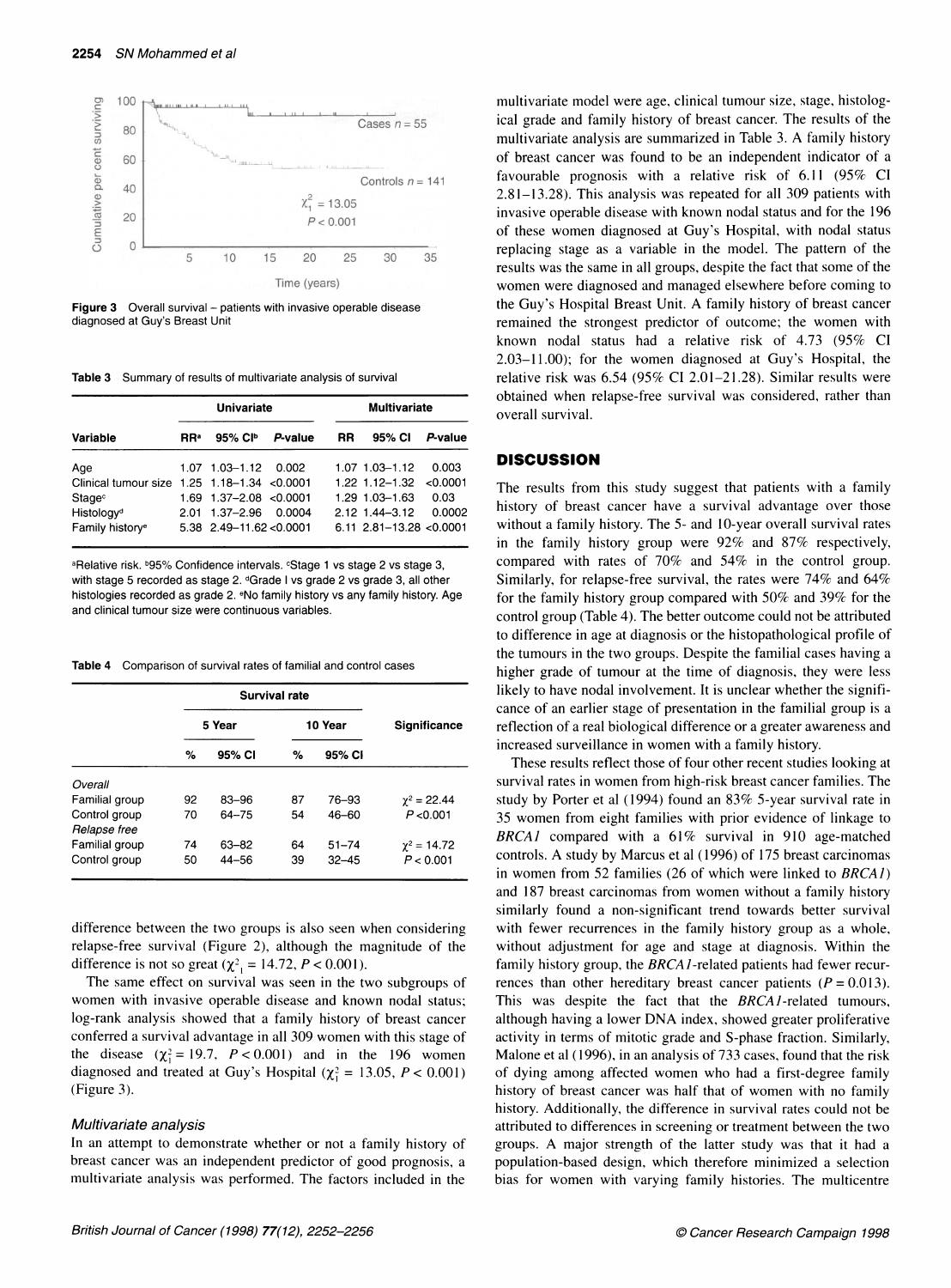

**Figure 3** Overall survival  $-$  patients with invasive operable disease diagnosed at Guy's Breast Unit

Table 3 Summary of results of multivariate analysis of survival

|                                              | Univariate |                            |         | <b>Multivariate</b> |                            |          |
|----------------------------------------------|------------|----------------------------|---------|---------------------|----------------------------|----------|
| Variable                                     | <b>RR</b>  | 95% CI <sup>D</sup>        | P-value | RR                  | 95% CI                     | P-value  |
| Age                                          |            | 1.07 1.03-1.12 0.002       |         |                     | 1.07 1.03-1.12             | 0.003    |
| Clinical tumour size 1.25 1.18-1.34 < 0.0001 |            |                            |         |                     | $1.22$ 1.12–1.32           | < 0.0001 |
| Stage <sup>c</sup>                           |            | $1.69$ 1.37-2.08 < 0.0001  |         |                     | $1.29$ 1.03-1.63           | 0.03     |
| Histology <sup>d</sup>                       |            | $2.01$ 1.37-2.96           | 0.0004  |                     | $2.12$ 1.44-3.12           | 0.0002   |
| Family history <sup>e</sup>                  |            | $5.38$ 2.49-11.62 < 0.0001 |         |                     | $6.11$ 2.81-13.28 < 0.0001 |          |

aRelative risk. b95% Confidence intervals. **Stage 1 vs stage 2 vs stage 3**, with stage 5 recorded as stage 2. dGrade I vs grade 2 vs grade 3, all other histologies recorded as grade 2. eNo family history vs any family history. Age and clinical tumour size were continuous variables.

Table 4 Comparison of survival rates of familial and control cases

|                                 | Survival rate |                    |          |                        |                                 |  |
|---------------------------------|---------------|--------------------|----------|------------------------|---------------------------------|--|
|                                 | 5 Year        |                    | 10 Year  |                        | Significance                    |  |
|                                 | %             | 95% CI             | %        | 95% CI                 |                                 |  |
| Overall                         |               |                    |          |                        |                                 |  |
| Familial group                  | 92            | $83 - 96$          | 87       | 76-93                  | $\gamma^2 = 22.44$              |  |
| Control group<br>Relapse free   | 70            | $64 - 75$          | 54       | $46 - 60$              | P < 0.001                       |  |
| Familial group<br>Control group | 74<br>50      | 63-82<br>$44 - 56$ | 64<br>39 | $51 - 74$<br>$32 - 45$ | $\gamma^2 = 14.72$<br>P < 0.001 |  |

difference between the two groups is also seen when considering relapse-free survival (Figure 2), although the magnitude of the difference is not so great ( $\chi^2$ <sub>1</sub> = 14.72, *P* < 0.001).

The same effect on survival was seen in the two subgroups of women with invasive operable disease and known nodal status; log-rank analysis showed that <sup>a</sup> family history of breast cancer conferred <sup>a</sup> survival advantage in all 309 women with this stage of the disease ( $\chi^2 = 19.7$ ,  $P < 0.001$ ) and in the 196 women diagnosed and treated at Guy's Hospital ( $\chi^2$  = 13.05, P < 0.001) (Figure 3).

#### Multivariate analysis

In an attempt to demonstrate whether or not <sup>a</sup> family history of breast cancer was an independent predictor of good prognosis, <sup>a</sup> multivariate analysis was performed. The factors included in the

multivariate model were age, clinical tumour size, stage, histological grade and family history of breast cancer. The results of the multivariate analysis are summarized in Table 3. A family history of breast cancer was found to be an independent indicator of a favourable prognosis with a relative risk of 6.11 (95% CI 2.81-13.28). This analysis was repeated for all 309 patients with invasive operable disease with known nodal status and for the 196 of these women diagnosed at Guy's Hospital, with nodal status replacing stage as a variable in the model. The pattern of the results was the same in all groups, despite the fact that some of the women were diagnosed and managed elsewhere before coming to the Guy's Hospital Breast Unit. A family history of breast cancer remained the strongest predictor of outcome; the women with known nodal status had a relative risk of 4.73 (95% CI 2.03-11.00); for the women diagnosed at Guy's Hospital, the relative risk was 6.54 (95% CI 2.01-21.28). Similar results were obtained when relapse-free survival was considered, rather than overall survival.

# **DISCUSSION**

The results from this study suggest that patients with a family history of breast cancer have a survival advantage over those without a family history. The 5- and 10-year overall survival rates in the family history group were 92% and 87% respectively, compared with rates of 70% and 54% in the control group. Similarly, for relapse-free survival, the rates were 74% and 64% for the family history group compared with 50% and 39% for the control group (Table 4). The better outcome could not be attributed to difference in age at diagnosis or the histopathological profile of the tumours in the two groups. Despite the familial cases having a higher grade of tumour at the time of diagnosis, they were less likely to have nodal involvement. It is unclear whether the significance of an earlier stage of presentation in the familial group is a reflection of a real biological difference or a greater awareness and increased surveillance in women with <sup>a</sup> family history.

These results reflect those of four other recent studies looking at survival rates in women from high-risk breast cancer families. The study by Porter et al (1994) found an 83% 5-year survival rate in 35 women from eight families with prior evidence of linkage to BRCA1 compared with a  $61\%$  survival in 910 age-matched controls. A study by Marcus et al (1996) of <sup>175</sup> breast carcinomas in women from 52 families (26 of which were linked to BRCAI) and 187 breast carcinomas from women without <sup>a</sup> family history similarly found a non-significant trend towards better survival with fewer recurrences in the family history group as a whole, without adjustment for age and stage at diagnosis. Within the family history group, the BRCA1-related patients had fewer recurrences than other hereditary breast cancer patients  $(P = 0.013)$ . This was despite the fact that the BRCAl-related tumours, although having <sup>a</sup> lower DNA index, showed greater proliferative activity in terms of mitotic grade and S-phase fraction. Similarly, Malone et al (1996), in an analysis of 733 cases, found that the risk of dying among affected women who had <sup>a</sup> first-degree family history of breast cancer was half that of women with no family history. Additionally, the difference in survival rates could not be attributed to differences in screening or treatment between the two groups. A major strength of the latter study was that it had <sup>a</sup> population-based design, which therefore minimized a selection bias for women with varying family histories. The multicentre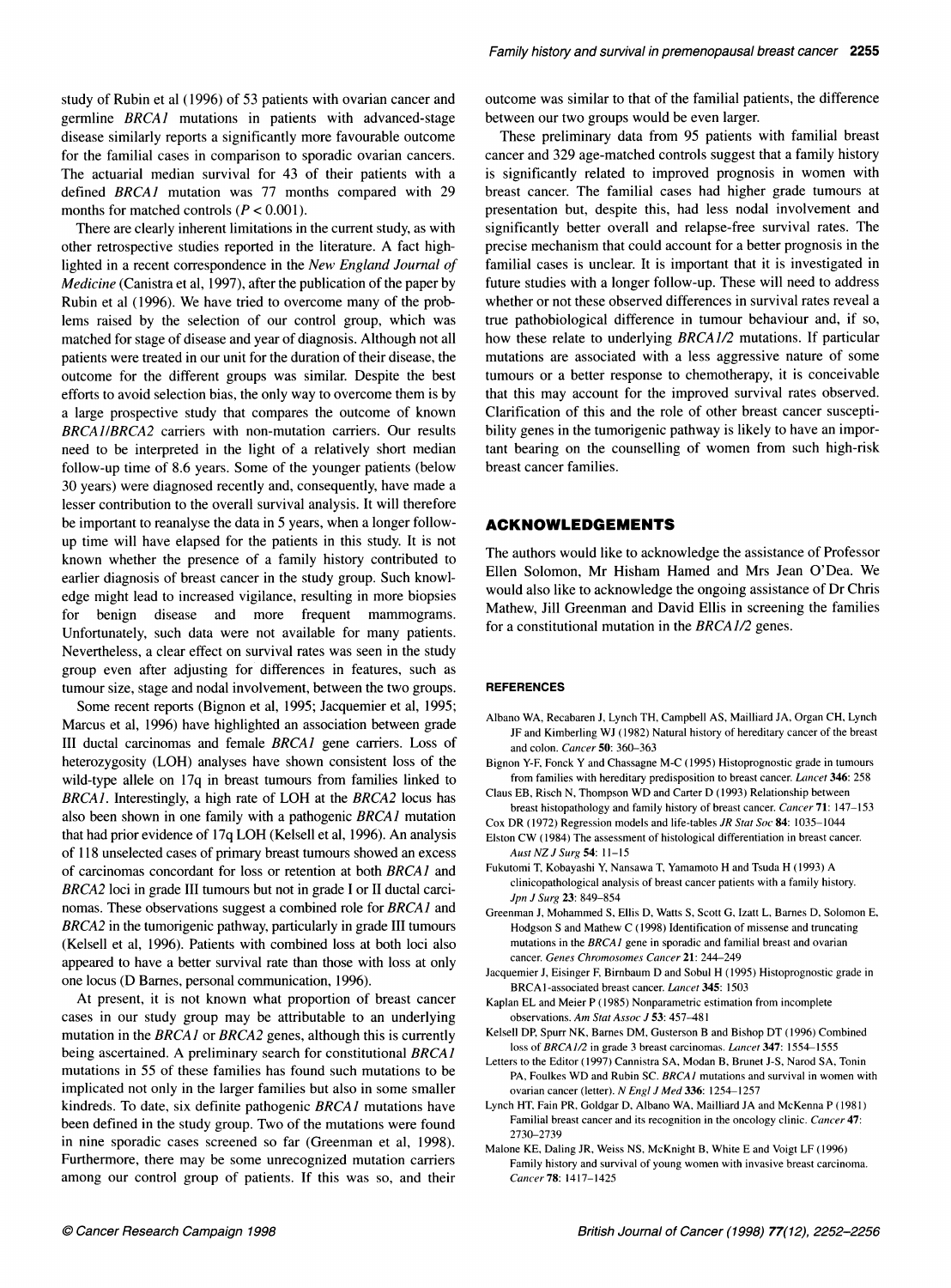study of Rubin et al (1996) of 53 patients with ovarian cancer and germline BRCAJ mutations in patients with advanced-stage disease similarly reports a significantly more favourable outcome for the familial cases in comparison to sporadic ovarian cancers. The actuarial median survival for 43 of their patients with a defined BRCA1 mutation was 77 months compared with 29 months for matched controls ( $P < 0.001$ ).

There are clearly inherent limitations in the current study, as with other retrospective studies reported in the literature. A fact highlighted in a recent correspondence in the New England Journal of Medicine (Canistra et al, 1997), after the publication of the paper by Rubin et al (1996). We have tried to overcome many of the problems raised by the selection of our control group, which was matched for stage of disease and year of diagnosis. Although not all patients were treated in our unit for the duration of their disease, the outcome for the different groups was similar. Despite the best efforts to avoid selection bias, the only way to overcome them is by a large prospective study that compares the outcome of known BRCAJIBRCA2 carriers with non-mutation carriers. Our results need to be interpreted in the light of a relatively short median follow-up time of 8.6 years. Some of the younger patients (below 30 years) were diagnosed recently and, consequently, have made a lesser contribution to the overall survival analysis. It will therefore be important to reanalyse the data in 5 years, when a longer followup time will have elapsed for the patients in this study. It is not known whether the presence of a family history contributed to earlier diagnosis of breast cancer in the study group. Such knowledge might lead to increased vigilance, resulting in more biopsies for benign disease and more frequent mammograms. Unfortunately, such data were not available for many patients. Nevertheless, a clear effect on survival rates was seen in the study group even after adjusting for differences in features, such as tumour size, stage and nodal involvement, between the two groups.

Some recent reports (Bignon et al, 1995; Jacquemier et al, 1995; Marcus et al, 1996) have highlighted an association between grade III ductal carcinomas and female BRCAJ gene carriers. Loss of heterozygosity (LOH) analyses have shown consistent loss of the wild-type allele on 17q in breast tumours from families linked to BRCA1. Interestingly, a high rate of LOH at the BRCA2 locus has also been shown in one family with a pathogenic BRCAJ mutation that had prior evidence of 17q LOH (Kelsell et al, 1996). An analysis of 118 unselected cases of primary breast tumours showed an excess of carcinomas concordant for loss or retention at both BRCAJ and BRCA2 loci in grade III tumours but not in grade <sup>I</sup> or II ductal carcinomas. These observations suggest a combined role for BRCA1 and BRCA2 in the tumorigenic pathway, particularly in grade III tumours (Kelsell et al, 1996). Patients with combined loss at both loci also appeared to have a better survival rate than those with loss at only one locus (D Barnes, personal communication, 1996).

At present, it is not known what proportion of breast cancer cases in our study group may be attributable to an underlying mutation in the BRCA1 or BRCA2 genes, although this is currently being ascertained. A preliminary search for constitutional BRCA1 mutations in 55 of these families has found such mutations to be implicated not only in the larger families but also in some smaller kindreds. To date, six definite pathogenic BRCAI mutations have been defined in the study group. Two of the mutations were found in nine sporadic cases screened so far (Greenman et al, 1998). Furthermore, there may be some unrecognized mutation carriers among our control group of patients. If this was so, and their outcome was similar to that of the familial patients, the difference between our two groups would be even larger.

These preliminary data from 95 patients with familial breast cancer and 329 age-matched controls suggest that a family history is significantly related to improved prognosis in women with breast cancer. The familial cases had higher grade tumours at presentation but, despite this, had less nodal involvement and significantly better overall and relapse-free survival rates. The precise mechanism that could account for a better prognosis in the familial cases is unclear. It is important that it is investigated in future studies with a longer follow-up. These will need to address whether or not these observed differences in survival rates reveal a true pathobiological difference in tumour behaviour and, if so, how these relate to underlying BRCA1/2 mutations. If particular mutations are associated with a less aggressive nature of some tumours or a better response to chemotherapy, it is conceivable that this may account for the improved survival rates observed. Clarification of this and the role of other breast cancer susceptibility genes in the tumorigenic pathway is likely to have an important bearing on the counselling of women from such high-risk breast cancer families.

## ACKNOWLEDGEMENTS

The authors would like to acknowledge the assistance of Professor Ellen Solomon, Mr Hisham Hamed and Mrs Jean O'Dea. We would also like to acknowledge the ongoing assistance of Dr Chris Mathew, Jill Greenman and David Ellis in screening the families for a constitutional mutation in the BRCA1/2 genes.

#### **REFERENCES**

- Albano WA, Recabaren J, Lynch TH, Campbell AS, Mailliard JA, Organ CH, Lynch JF and Kimberling WJ (1982) Natural history of hereditary cancer of the breast and colon. Cancer 50: 360-363
- Bignon Y-F, Fonck Y and Chassagne M-C (1995) Histoprognostic grade in tumours from families with hereditary predisposition to breast cancer. Lancet 346: 258
- Claus EB, Risch N, Thompson WD and Carter D (1993) Relationship between breast histopathology and family history of breast cancer. Cancer 71: 147-153
- Cox DR (1972) Regression models and life-tables JR Stat Soc 84: 1035-1044 Elston CW (1984) The assessment of histological differentiation in breast cancer.
- Aust NZ J Surg 54: 11-15
- Fukutomi T, Kobayashi Y, Nansawa T, Yamamoto H and Tsuda H (1993) A clinicopathological analysis of breast cancer patients with a family history. Jpn J Surg 23: 849-854
- Greenman J, Mohammed S, Ellis D, Watts S, Scott G, Izatt L, Barnes D, Solomon E, Hodgson S and Mathew C (1998) Identification of missense and truncating mutations in the BRCAI gene in sporadic and familial breast and ovarian cancer. Genes Chromosomes Cancer 21: 244-249
- Jacquemier J, Eisinger F, Birnbaum D and Sobul H (1995) Histoprognostic grade in BRCA1-associated breast cancer. Lancet 345: 1503
- Kaplan EL and Meier P (1985) Nonparametric estimation from incomplete observations. Am Stat Assoc J 53: 457-481
- Kelsell DP, Spurr NK, Barnes DM, Gusterson B and Bishop DT (1996) Combined loss of BRCA1/2 in grade 3 breast carcinomas. Lancet 347: 1554-1555
- Letters to the Editor (1997) Cannistra SA, Modan B, Brunet J-S, Narod SA, Tonin PA, Foulkes WD and Rubin SC. BRCA1 mutations and survival in women with ovarian cancer (letter). N Engl J Med 336: 1254-1257
- Lynch HT, Fain PR, Goldgar D, Albano WA, Mailliard JA and McKenna P (1981) Familial breast cancer and its recognition in the oncology clinic. Cancer 47: 2730-2739
- Malone KE, Daling JR, Weiss NS, McKnight B, White E and Voigt LF (1996) Family history and survival of young women with invasive breast carcinoma. Cancer 78: 1417-1425